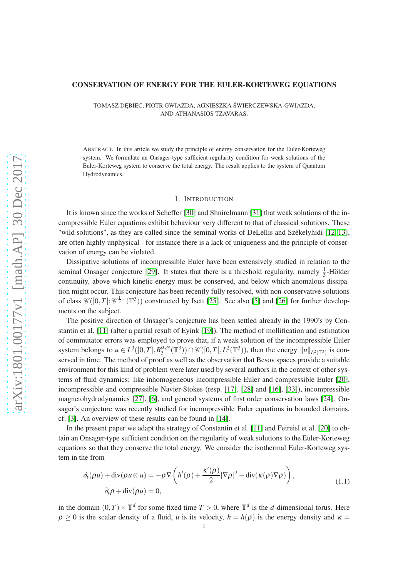#### CONSERVATION OF ENERGY FOR THE EULER-KORTEWEG EQUATIONS

TOMASZ DEBIEC, PIOTR GWIAZDA, AGNIESZKA ŚWIERCZEWSKA-GWIAZDA, AND ATHANASIOS TZAVARAS.

ABSTRACT. In this article we study the principle of energy conservation for the Euler-Korteweg system. We formulate an Onsager-type sufficient regularity condition for weak solutions of the Euler-Korteweg system to conserve the total energy. The result applies to the system of Quantum Hydrodynamics.

### 1. INTRODUCTION

It is known since the works of Scheffer [\[30\]](#page-9-0) and Shnirelmann [\[31\]](#page-9-1) that weak solutions of the incompressible Euler equations exhibit behaviour very different to that of classical solutions. These "wild solutions", as they are called since the seminal works of DeLellis and Székelyhidi [\[12,](#page-8-0) [13\]](#page-8-1), are often highly unphysical - for instance there is a lack of uniqueness and the principle of conservation of energy can be violated.

Dissipative solutions of incompressible Euler have been extensively studied in relation to the seminal Onsager conjecture [\[29\]](#page-9-2). It states that there is a threshold regularity, namely  $\frac{1}{3}$ -Hölder continuity, above which kinetic energy must be conserved, and below which anomalous dissipation might occur. This conjecture has been recently fully resolved, with non-conservative solutions of class  $\mathscr{C}([0,T]; \mathscr{C}^{\frac{1}{3}-}(\mathbb{T}^3))$  constructed by Isett [\[25\]](#page-9-3). See also [\[5\]](#page-8-2) and [\[26\]](#page-9-4) for further developments on the subject.

The positive direction of Onsager's conjecture has been settled already in the 1990's by Constantin et al. [\[11\]](#page-8-3) (after a partial result of Eyink [\[19\]](#page-8-4)). The method of mollification and estimation of commutator errors was employed to prove that, if a weak solution of the incompressible Euler system belongs to  $u \in L^3([0, T], B_3^{\alpha, \infty})$  $\binom{\alpha, \infty}{3}$ (T<sup>3</sup>))  $\cap \mathscr{C}([0, T], L^2(\mathbb{T}^3))$ , then the energy  $||u||_{L^2(\mathbb{T}^3)}$  is conserved in time. The method of proof as well as the observation that Besov spaces provide a suitable environment for this kind of problem were later used by several authors in the context of other systems of fluid dynamics: like inhomogeneous incompressible Euler and compressible Euler [\[20\]](#page-8-5), incompressible and compressible Navier-Stokes (resp. [\[17\]](#page-8-6), [\[28\]](#page-9-5) and [\[16\]](#page-8-7), [\[33\]](#page-9-6)), incompressible magnetohydrodynamics [\[27\]](#page-9-7), [\[6\]](#page-8-8), and general systems of first order conservation laws [\[24\]](#page-9-8). Onsager's conjecture was recently studied for incompressible Euler equations in bounded domains, cf. [\[3\]](#page-8-9). An overview of these results can be found in [\[14\]](#page-8-10).

In the present paper we adapt the strategy of Constantin et al. [\[11\]](#page-8-3) and Feireisl et al. [\[20\]](#page-8-5) to obtain an Onsager-type sufficient condition on the regularity of weak solutions to the Euler-Korteweg equations so that they conserve the total energy. We consider the isothermal Euler-Korteweg system in the from

<span id="page-0-0"></span>
$$
\partial_t(\rho u) + \operatorname{div}(\rho u \otimes u) = -\rho \nabla \left( h'(\rho) + \frac{\kappa'(\rho)}{2} |\nabla \rho|^2 - \operatorname{div}(\kappa(\rho) \nabla \rho) \right),
$$
  
\n
$$
\partial_t \rho + \operatorname{div}(\rho u) = 0,
$$
\n(1.1)

in the domain  $(0, T) \times \mathbb{T}^d$  for some fixed time  $T > 0$ , where  $\mathbb{T}^d$  is the *d*-dimensional torus. Here  $\rho \ge 0$  is the scalar density of a fluid, *u* is its velocity,  $h = h(\rho)$  is the energy density and  $\kappa =$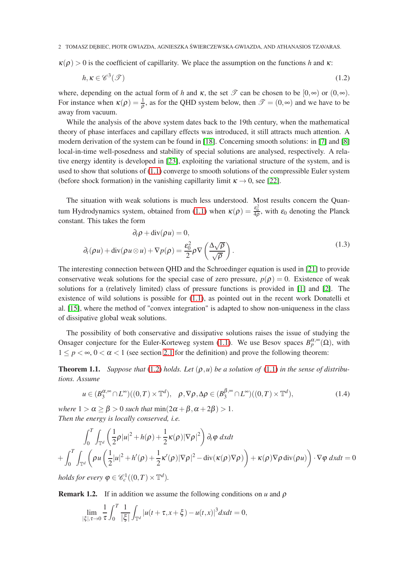2 TOMASZ DEBIEC, PIOTR GWIAZDA, AGNIESZKA ŚWIERCZEWSKA-GWIAZDA, AND ATHANASIOS TZAVARAS.

 $\kappa(\rho) > 0$  is the coefficient of capillarity. We place the assumption on the functions *h* and  $\kappa$ :

<span id="page-1-0"></span>
$$
h, \kappa \in \mathscr{C}^3(\mathcal{T})
$$
\n<sup>(1.2)</sup>

where, depending on the actual form of *h* and  $\kappa$ , the set  $\mathcal T$  can be chosen to be  $[0,\infty)$  or  $(0,\infty)$ . For instance when  $\kappa(\rho) = \frac{1}{\rho}$ , as for the QHD system below, then  $\mathcal{T} = (0, \infty)$  and we have to be away from vacuum.

While the analysis of the above system dates back to the 19th century, when the mathematical theory of phase interfaces and capillary effects was introduced, it still attracts much attention. A modern derivation of the system can be found in [\[18\]](#page-8-11). Concerning smooth solutions: in [\[7\]](#page-8-12) and [\[8\]](#page-8-13) local-in-time well-posedness and stability of special solutions are analysed, respectively. A relative energy identity is developed in [\[23\]](#page-9-9), exploiting the variational structure of the system, and is used to show that solutions of [\(1.1\)](#page-0-0) converge to smooth solutions of the compressible Euler system (before shock formation) in the vanishing capillarity limit  $\kappa \to 0$ , see [\[22\]](#page-9-10).

The situation with weak solutions is much less understood. Most results concern the Quan-tum Hydrodynamics system, obtained from [\(1.1\)](#page-0-0) when  $\kappa(\rho) = \frac{\varepsilon_0^2}{4\rho}$ , with  $\varepsilon_0$  denoting the Planck constant. This takes the form

$$
\partial_t \rho + \text{div}(\rho u) = 0,
$$
  

$$
\partial_t (\rho u) + \text{div}(\rho u \otimes u) + \nabla p(\rho) = \frac{\varepsilon_0^2}{2} \rho \nabla \left( \frac{\Delta \sqrt{\rho}}{\sqrt{\rho}} \right).
$$
 (1.3)

The interesting connection between QHD and the Schroedinger equation is used in [\[21\]](#page-8-14) to provide conservative weak solutions for the special case of zero pressure,  $p(\rho) = 0$ . Existence of weak solutions for a (relatively limited) class of pressure functions is provided in [\[1\]](#page-8-15) and [\[2\]](#page-8-16). The existence of wild solutions is possible for  $(1.1)$ , as pointed out in the recent work Donatelli et al. [\[15\]](#page-8-17), where the method of "convex integration" is adapted to show non-uniqueness in the class of dissipative global weak solutions.

The possibility of both conservative and dissipative solutions raises the issue of studying the Onsager conjecture for the Euler-Korteweg system [\(1.1\)](#page-0-0). We use Besov spaces  $B_p^{\alpha,\infty}(\Omega)$ , with  $1 \le p < \infty$ ,  $0 < \alpha < 1$  (see section [2.1](#page-2-0) for the definition) and prove the following theorem:

<span id="page-1-1"></span>**Theorem 1.1.** *Suppose that* [\(1.2\)](#page-1-0) *holds. Let*  $(\rho, u)$  *be a solution of* [\(1.1\)](#page-0-0) *in the sense of distributions. Assume*

<span id="page-1-2"></span>
$$
u \in (B_3^{\alpha,\infty} \cap L^{\infty})((0,T) \times \mathbb{T}^d), \quad \rho, \nabla \rho, \Delta \rho \in (B_3^{\beta,\infty} \cap L^{\infty})((0,T) \times \mathbb{T}^d), \tag{1.4}
$$

*where*  $1 > \alpha \ge \beta > 0$  *such that*  $\min(2\alpha + \beta, \alpha + 2\beta) > 1$ . *Then the energy is locally conserved, i.e.*

$$
\int_0^T \int_{\mathbb{T}^d} \left( \frac{1}{2} \rho |u|^2 + h(\rho) + \frac{1}{2} \kappa(\rho) |\nabla \rho|^2 \right) \partial_t \varphi \, dxdt
$$
  
+ 
$$
\int_0^T \int_{\mathbb{T}^d} \left( \rho u \left( \frac{1}{2} |u|^2 + h'(\rho) + \frac{1}{2} \kappa'(\rho) |\nabla \rho|^2 - \text{div}(\kappa(\rho) \nabla \rho) \right) + \kappa(\rho) \nabla \rho \, \text{div}(\rho u) \right) \cdot \nabla \varphi \, dxdt = 0
$$

*holds for every*  $\varphi \in \mathscr{C}_c^1((0,T) \times \mathbb{T}^d)$ *.* 

**Remark 1.2.** If in addition we assume the following conditions on  $u$  and  $\rho$ 

$$
\lim_{|\xi|, \tau \to 0} \frac{1}{\tau} \int_0^T \frac{1}{|\xi|} \int_{\mathbb{T}^d} |u(t + \tau, x + \xi) - u(t, x)|^3 dx dt = 0,
$$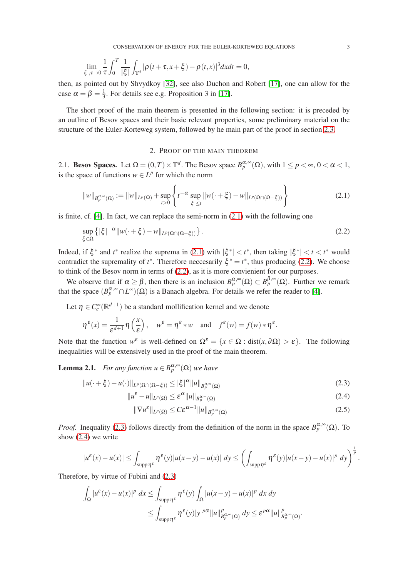$$
\lim_{|\xi|,\tau\to 0}\frac{1}{\tau}\int_0^T\frac{1}{|\xi|}\int_{\mathbb{T}^d}|\rho(t+\tau,x+\xi)-\rho(t,x)|^3dxdt=0,
$$

then, as pointed out by Shvydkoy [\[32\]](#page-9-11), see also Duchon and Robert [\[17\]](#page-8-6), one can allow for the case  $\alpha = \beta = \frac{1}{3}$  $\frac{1}{3}$ . For details see e.g. Proposition 3 in [\[17\]](#page-8-6).

The short proof of the main theorem is presented in the following section: it is preceded by an outline of Besov spaces and their basic relevant properties, some preliminary material on the structure of the Euler-Korteweg system, followed by he main part of the proof in section [2.3.](#page-4-0)

# <span id="page-2-2"></span><span id="page-2-1"></span>2. PROOF OF THE MAIN THEOREM

<span id="page-2-0"></span>2.1. **Besov Spaces.** Let  $\Omega = (0, T) \times \mathbb{T}^d$ . The Besov space  $B_p^{\alpha, \infty}(\Omega)$ , with  $1 \le p < \infty, 0 < \alpha < 1$ , is the space of functions  $w \in L^p$  for which the norm

$$
||w||_{B_{p}^{\alpha,\infty}(\Omega)} := ||w||_{L^{p}(\Omega)} + \sup_{t>0} \left\{ t^{-\alpha} \sup_{|\xi| \leq t} ||w(\cdot + \xi) - w||_{L^{p}(\Omega \cap (\Omega - \xi))} \right\}
$$
(2.1)

is finite, cf. [\[4\]](#page-8-18). In fact, we can replace the semi-norm in  $(2.1)$  with the following one

$$
\sup_{\xi \in \Omega} \left\{ |\xi|^{-\alpha} \| w(\cdot + \xi) - w \|_{L^p(\Omega \cap (\Omega - \xi))} \right\}.
$$
\n(2.2)

Indeed, if  $\xi^*$  and  $t^*$  realize the suprema in [\(2.1\)](#page-2-1) with  $|\xi^*| < t^*$ , then taking  $|\xi^*| < t < t^*$  would contradict the supremality of  $t^*$ . Therefore neccesarily  $\xi^* = t^*$ , thus producing [\(2.2\)](#page-2-2). We choose to think of the Besov norm in terms of [\(2.2\)](#page-2-2), as it is more convienient for our purposes.

We observe that if  $\alpha \ge \beta$ , then there is an inclusion  $B_p^{\alpha,\infty}(\Omega) \subset B_p^{\beta,\infty}(\Omega)$ . Further we remark that the space  $(B_p^{\alpha, \infty} \cap L^{\infty})(\Omega)$  is a Banach algebra. For details we refer the reader to [\[4\]](#page-8-18).

Let  $\eta \in C_c^{\infty}(\mathbb{R}^{d+1})$  be a standard mollification kernel and we denote

$$
\eta^{\varepsilon}(x) = \frac{1}{\varepsilon^{d+1}} \eta\left(\frac{x}{\varepsilon}\right), \quad w^{\varepsilon} = \eta^{\varepsilon} * w \quad \text{and} \quad f^{\varepsilon}(w) = f(w) * \eta^{\varepsilon}.
$$

Note that the function  $w^{\varepsilon}$  is well-defined on  $\Omega^{\varepsilon} = \{x \in \Omega : \text{dist}(x, \partial \Omega) > \varepsilon\}.$  The following inequalities will be extensively used in the proof of the main theorem.

<span id="page-2-5"></span>**Lemma 2.1.** *For any function*  $u \in B_p^{\alpha,\infty}(\Omega)$  *we have* 

$$
||u(\cdot + \xi) - u(\cdot)||_{L^p(\Omega \cap (\Omega - \xi))} \leq |\xi|^\alpha ||u||_{B^{\alpha, \infty}_p(\Omega)}
$$
\n(2.3)

$$
||u^{\varepsilon} - u||_{L^{p}(\Omega)} \leq \varepsilon^{\alpha} ||u||_{B^{\alpha,\infty}_{p}(\Omega)}
$$
\n(2.4)

$$
\|\nabla u^{\varepsilon}\|_{L^{p}(\Omega)} \leq C\varepsilon^{\alpha-1} \|u\|_{B^{\alpha,\infty}_{p}(\Omega)}
$$
\n(2.5)

*Proof.* Inequality [\(2.3\)](#page-2-3) follows directly from the definition of the norm in the space  $B_p^{\alpha, \infty}(\Omega)$ . To show [\(2.4\)](#page-2-4) we write

$$
|u^{\varepsilon}(x) - u(x)| \leq \int_{\text{supp}\,\eta^{\varepsilon}} \eta^{\varepsilon}(y) |u(x - y) - u(x)| \, dy \leq \left(\int_{\text{supp}\,\eta^{\varepsilon}} \eta^{\varepsilon}(y) |u(x - y) - u(x)|^p \, dy\right)^{\frac{1}{p}}
$$

Therefore, by virtue of Fubini and [\(2.3\)](#page-2-3)

$$
\int_{\Omega} |u^{\varepsilon}(x) - u(x)|^{p} dx \leq \int_{\text{supp}\,\eta^{\varepsilon}} \eta^{\varepsilon}(y) \int_{\Omega} |u(x - y) - u(x)|^{p} dx dy
$$
  

$$
\leq \int_{\text{supp}\,\eta^{\varepsilon}} \eta^{\varepsilon}(y)|y|^{p\alpha} \|u\|_{B_{p}^{\alpha,\infty}(\Omega)}^{p} dy \leq \varepsilon^{p\alpha} \|u\|_{B_{p}^{\alpha,\infty}(\Omega)}^{p}.
$$

<span id="page-2-6"></span><span id="page-2-4"></span><span id="page-2-3"></span>.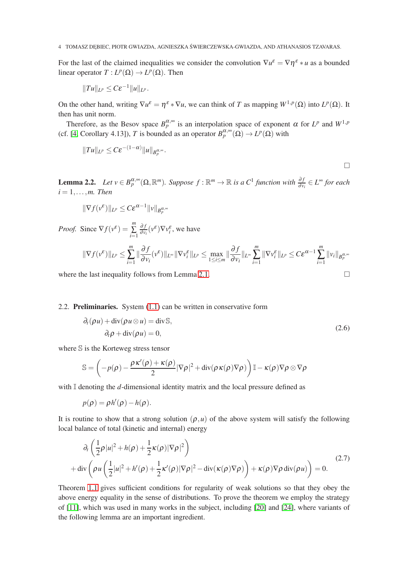4 TOMASZ DEBIEC, PIOTR GWIAZDA, AGNIESZKA ŚWIERCZEWSKA-GWIAZDA, AND ATHANASIOS TZAVARAS.

For the last of the claimed inequalities we consider the convolution  $\nabla u^{\varepsilon} = \nabla \eta^{\varepsilon} * u$  as a bounded linear operator  $T: L^p(\Omega) \to L^p(\Omega)$ . Then

$$
||Tu||_{L^p}\leq C\varepsilon^{-1}||u||_{L^p}.
$$

On the other hand, writing  $\nabla u^{\varepsilon} = \eta^{\varepsilon} * \nabla u$ , we can think of *T* as mapping  $W^{1,p}(\Omega)$  into  $L^p(\Omega)$ . It then has unit norm.

Therefore, as the Besov space  $B_p^{\alpha,\infty}$  is an interpolation space of exponent  $\alpha$  for  $L^p$  and  $W^{1,p}$ (cf. [\[4,](#page-8-18) Corollary 4.13]), *T* is bounded as an operator  $B_p^{\alpha, \infty}(\Omega) \to L^p(\Omega)$  with

$$
||Tu||_{L^p} \leq C \varepsilon^{-(1-\alpha)} ||u||_{B_p^{\alpha,\infty}}.
$$

$$
\Box
$$

<span id="page-3-0"></span>**Lemma 2.2.** Let  $v \in B_p^{\alpha,\infty}(\Omega,\mathbb{R}^m)$ . Suppose  $f : \mathbb{R}^m \to \mathbb{R}$  is a  $C^1$  function with  $\frac{\partial f}{\partial v_i} \in L^\infty$  for each  $i = 1, \ldots, m$ . Then

$$
\|\nabla f(v^{\varepsilon})\|_{L^p} \leq C \varepsilon^{\alpha-1} \|v\|_{B^{\alpha,\infty}_p}
$$

*Proof.* Since  $\nabla f(v^{\varepsilon}) = \sum_{k=1}^{m}$ ∑ *i*=1 ∂ *f*  $\frac{\partial f}{\partial v_i}(v^{\varepsilon})\nabla v_i^{\varepsilon}$ , we have

$$
\|\nabla f(\nu^{\varepsilon})\|_{L^{p}} \leq \sum_{i=1}^{m} \|\frac{\partial f}{\partial \nu_{i}}(\nu^{\varepsilon})\|_{L^{\infty}} \|\nabla \nu_{i}^{\varepsilon}\|_{L^{p}} \leq \max_{1 \leq i \leq m} \|\frac{\partial f}{\partial \nu_{i}}\|_{L^{\infty}} \sum_{i=1}^{m} \|\nabla \nu_{i}^{\varepsilon}\|_{L^{p}} \leq C \varepsilon^{\alpha-1} \sum_{i=1}^{m} \|\nu_{i}\|_{B^{\alpha,\infty}_{p}}
$$

where the last inequality follows from Lemma [2.1.](#page-2-5)  $\Box$ 

### 2.2. Preliminaries. System [\(1.1\)](#page-0-0) can be written in conservative form

$$
\partial_t(\rho u) + \text{div}(\rho u \otimes u) = \text{div}\mathbb{S},
$$
  
\n
$$
\partial_t \rho + \text{div}(\rho u) = 0,
$$
\n(2.6)

where S is the Korteweg stress tensor

$$
\mathbb{S} = \left( -p(\rho) - \frac{\rho \kappa'(\rho) + \kappa(\rho)}{2} |\nabla \rho|^2 + \mathrm{div}(\rho \kappa(\rho) \nabla \rho) \right) \mathbb{I} - \kappa(\rho) \nabla \rho \otimes \nabla \rho
$$

with I denoting the *d*-dimensional identity matrix and the local pressure defined as

$$
p(\rho) = \rho h'(\rho) - h(\rho).
$$

It is routine to show that a strong solution  $(\rho, u)$  of the above system will satisfy the following local balance of total (kinetic and internal) energy

$$
\partial_t \left( \frac{1}{2} \rho |u|^2 + h(\rho) + \frac{1}{2} \kappa(\rho) |\nabla \rho|^2 \right) \n+ \operatorname{div} \left( \rho u \left( \frac{1}{2} |u|^2 + h'(\rho) + \frac{1}{2} \kappa'(\rho) |\nabla \rho|^2 - \operatorname{div}(\kappa(\rho) \nabla \rho) \right) + \kappa(\rho) \nabla \rho \operatorname{div}(\rho u) \right) = 0.
$$
\n(2.7)

Theorem [1.1](#page-1-1) gives sufficient conditions for regularity of weak solutions so that they obey the above energy equality in the sense of distributions. To prove the theorem we employ the strategy of [\[11\]](#page-8-3), which was used in many works in the subject, including [\[20\]](#page-8-5) and [\[24\]](#page-9-8), where variants of the following lemma are an important ingredient.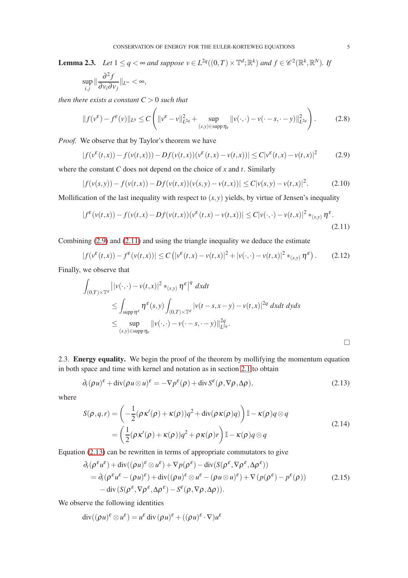<span id="page-4-5"></span>**Lemma 2.3.** *Let*  $1 \leq q < \infty$  *and suppose*  $v \in L^{2q}((0,T) \times \mathbb{T}^d; \mathbb{R}^k)$  *and*  $f \in \mathscr{C}^2(\mathbb{R}^k, \mathbb{R}^N)$ *. If* 

$$
\sup_{i,j} \|\frac{\partial^2 f}{\partial v_i \partial v_j}\|_{L^\infty} < \infty,
$$

*then there exists a constant*  $C > 0$  *such that* 

$$
||f(v^{\varepsilon}) - f^{\varepsilon}(v)||_{L^{q}} \le C \left( ||v^{\varepsilon} - v||_{L^{2q}}^{2} + \sup_{(s,y)\in \text{supp}\,\eta_{\varepsilon}} ||v(\cdot,\cdot) - v(\cdot - s, \cdot - y)||_{L^{2q}}^{2} \right). \tag{2.8}
$$

*Proof.* We observe that by Taylor's theorem we have

<span id="page-4-1"></span>
$$
|f(v^{\varepsilon}(t,x)) - f(v(t,x))) - Df(v(t,x))(v^{\varepsilon}(t,x) - v(t,x))| \le C|v^{\varepsilon}(t,x) - v(t,x)|^2 \tag{2.9}
$$

where the constant *C* does not depend on the choice of *x* and *t*. Similarly

<span id="page-4-2"></span>
$$
|f(v(s,y)) - f(v(t,x)) - Df(v(t,x))(v(s,y) - v(t,x))| \le C|v(s,y) - v(t,x)|^2. \tag{2.10}
$$

Mollification of the last inequality with respect to (*s*,*y*) yields, by virtue of Jensen's inequality

$$
|f^{\varepsilon}(v(t,x)) - f(v(t,x) - Df(v(t,x))(v^{\varepsilon}(t,x) - v(t,x))| \le C|v(\cdot,\cdot) - v(t,x)|^2 *_{(s,y)} \eta^{\varepsilon}.
$$
\n(2.11)

Combining [\(2.9\)](#page-4-1) and [\(2.11\)](#page-4-2) and using the triangle inequality we deduce the estimate

$$
|f(v^{\varepsilon}(t,x)) - f^{\varepsilon}(v(t,x))| \leq C\left(|v^{\varepsilon}(t,x) - v(t,x)|^2 + |v(\cdot,\cdot) - v(t,x)|^2 *_{(s,y)} \eta^{\varepsilon}\right). \tag{2.12}
$$

Finally, we observe that

$$
\int_{(0,T)\times\mathbb{T}^d} ||v(\cdot,\cdot)-v(t,x)|^2 *_{(s,y)} \eta^{\varepsilon}|^q dxdt
$$
\n
$$
\leq \int_{\text{supp}\,\eta^{\varepsilon}} \eta^{\varepsilon}(s,y) \int_{(0,T)\times\mathbb{T}^d} |v(t-s,x-y)-v(t,x)|^{2q} dxdt dyds
$$
\n
$$
\leq \sup_{(s,y)\in\text{supp}\,\eta_{\varepsilon}} ||v(\cdot,\cdot)-v(\cdot-s,\cdot-y)||_{L^{2q}}^{2q}.
$$

<span id="page-4-0"></span>2.3. Energy equality. We begin the proof of the theorem by mollifying the momentum equation in both space and time with kernel and notation as in section [2.1](#page-2-0) to obtain

<span id="page-4-3"></span>
$$
\partial_t (\rho u)^{\varepsilon} + \operatorname{div}(\rho u \otimes u)^{\varepsilon} = -\nabla p^{\varepsilon}(\rho) + \operatorname{div} S^{\varepsilon}(\rho, \nabla \rho, \Delta \rho), \tag{2.13}
$$

where

$$
S(\rho, q, r) = \left( -\frac{1}{2} (\rho \kappa'(\rho) + \kappa(\rho)) q^2 + \text{div}(\rho \kappa(\rho) q) \right) \mathbb{I} - \kappa(\rho) q \otimes q
$$
  
= 
$$
\left( \frac{1}{2} (\rho \kappa'(\rho) + \kappa(\rho)) q^2 + \rho \kappa(\rho) r \right) \mathbb{I} - \kappa(\rho) q \otimes q
$$
 (2.14)

Equation [\(2.13\)](#page-4-3) can be rewritten in terms of appropriate commutators to give

<span id="page-4-4"></span>
$$
\partial_t(\rho^{\varepsilon}u^{\varepsilon}) + \text{div}((\rho u)^{\varepsilon} \otimes u^{\varepsilon}) + \nabla p(\rho^{\varepsilon}) - \text{div}(S(\rho^{\varepsilon}, \nabla \rho^{\varepsilon}, \Delta \rho^{\varepsilon})) \n= \partial_t(\rho^{\varepsilon}u^{\varepsilon} - (\rho u)^{\varepsilon}) + \text{div}((\rho u)^{\varepsilon} \otimes u^{\varepsilon} - (\rho u \otimes u)^{\varepsilon}) + \nabla(p(\rho^{\varepsilon}) - p^{\varepsilon}(\rho)) \n- \text{div}(S(\rho^{\varepsilon}, \nabla \rho^{\varepsilon}, \Delta \rho^{\varepsilon}) - S^{\varepsilon}(\rho, \nabla \rho, \Delta \rho)).
$$
\n(2.15)

We observe the following identities

$$
\operatorname{div}((\rho u)^{\varepsilon} \otimes u^{\varepsilon}) = u^{\varepsilon} \operatorname{div}(\rho u)^{\varepsilon} + ((\rho u)^{\varepsilon} \cdot \nabla) u^{\varepsilon}
$$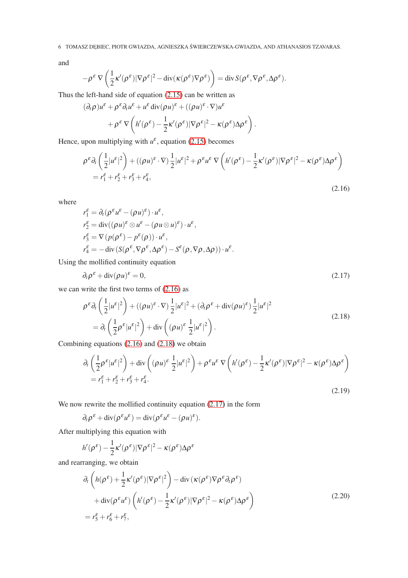and

$$
-\rho^{\varepsilon} \nabla \left( \frac{1}{2} \kappa'(\rho^{\varepsilon}) |\nabla \rho^{\varepsilon}|^2 - \text{div}(\kappa(\rho^{\varepsilon}) \nabla \rho^{\varepsilon}) \right) = \text{div} \, S(\rho^{\varepsilon}, \nabla \rho^{\varepsilon}, \Delta \rho^{\varepsilon}).
$$

Thus the left-hand side of equation [\(2.15\)](#page-4-4) can be written as

$$
(\partial_t \rho)u^{\varepsilon} + \rho^{\varepsilon} \partial_t u^{\varepsilon} + u^{\varepsilon} \operatorname{div}(\rho u)^{\varepsilon} + ((\rho u)^{\varepsilon} \cdot \nabla)u^{\varepsilon} + \rho^{\varepsilon} \nabla \left( h'(\rho^{\varepsilon}) - \frac{1}{2} \kappa'(\rho^{\varepsilon}) |\nabla \rho^{\varepsilon}|^2 - \kappa(\rho^{\varepsilon}) \Delta \rho^{\varepsilon} \right).
$$

Hence, upon multiplying with  $u^{\varepsilon}$ , equation [\(2.15\)](#page-4-4) becomes

<span id="page-5-0"></span>
$$
\rho^{\varepsilon} \partial_{t} \left( \frac{1}{2} |u^{\varepsilon}|^{2} \right) + \left( (\rho u)^{\varepsilon} \cdot \nabla \right) \frac{1}{2} |u^{\varepsilon}|^{2} + \rho^{\varepsilon} u^{\varepsilon} \nabla \left( h'(\rho^{\varepsilon}) - \frac{1}{2} \kappa'(\rho^{\varepsilon}) |\nabla \rho^{\varepsilon}|^{2} - \kappa(\rho^{\varepsilon}) \Delta \rho^{\varepsilon} \right)
$$
  
=  $r_{1}^{\varepsilon} + r_{2}^{\varepsilon} + r_{3}^{\varepsilon} + r_{4}^{\varepsilon},$  (2.16)

where

$$
r_1^{\varepsilon} = \partial_t (\rho^{\varepsilon} u^{\varepsilon} - (\rho u)^{\varepsilon}) \cdot u^{\varepsilon},
$$
  
\n
$$
r_2^{\varepsilon} = \text{div}((\rho u)^{\varepsilon} \otimes u^{\varepsilon} - (\rho u \otimes u)^{\varepsilon}) \cdot u^{\varepsilon},
$$
  
\n
$$
r_3^{\varepsilon} = \nabla (p(\rho^{\varepsilon}) - p^{\varepsilon}(\rho)) \cdot u^{\varepsilon},
$$
  
\n
$$
r_4^{\varepsilon} = -\text{div} (S(\rho^{\varepsilon}, \nabla \rho^{\varepsilon}, \Delta \rho^{\varepsilon}) - S^{\varepsilon}(\rho, \nabla \rho, \Delta \rho)) \cdot u^{\varepsilon}.
$$

Using the mollified continuity equation

<span id="page-5-2"></span>
$$
\partial_t \rho^{\varepsilon} + \text{div}(\rho u)^{\varepsilon} = 0, \tag{2.17}
$$

we can write the first two terms of [\(2.16\)](#page-5-0) as

<span id="page-5-3"></span><span id="page-5-1"></span>
$$
\rho^{\varepsilon} \partial_t \left( \frac{1}{2} |u^{\varepsilon}|^2 \right) + \left( (\rho u)^{\varepsilon} \cdot \nabla \right) \frac{1}{2} |u^{\varepsilon}|^2 + \left( \partial_t \rho^{\varepsilon} + \text{div}(\rho u)^{\varepsilon} \right) \frac{1}{2} |u^{\varepsilon}|^2
$$
\n
$$
= \partial_t \left( \frac{1}{2} \rho^{\varepsilon} |u^{\varepsilon}|^2 \right) + \text{div} \left( (\rho u)^{\varepsilon} \frac{1}{2} |u^{\varepsilon}|^2 \right). \tag{2.18}
$$

Combining equations [\(2.16\)](#page-5-0) and [\(2.18\)](#page-5-1) we obtain

$$
\partial_t \left( \frac{1}{2} \rho^{\varepsilon} |u^{\varepsilon}|^2 \right) + \text{div} \left( (\rho u)^{\varepsilon} \frac{1}{2} |u^{\varepsilon}|^2 \right) + \rho^{\varepsilon} u^{\varepsilon} \nabla \left( h'(\rho^{\varepsilon}) - \frac{1}{2} \kappa' (\rho^{\varepsilon}) |\nabla \rho^{\varepsilon}|^2 - \kappa (\rho^{\varepsilon}) \Delta \rho^{\varepsilon} \right)
$$
  
=  $r_1^{\varepsilon} + r_2^{\varepsilon} + r_3^{\varepsilon} + r_4^{\varepsilon}$ . (2.19)

We now rewrite the mollified continuity equation  $(2.17)$  in the form

$$
\partial_t \rho^{\varepsilon} + \mathrm{div}(\rho^{\varepsilon} u^{\varepsilon}) = \mathrm{div}(\rho^{\varepsilon} u^{\varepsilon} - (\rho u)^{\varepsilon}).
$$

After multiplying this equation with

$$
h'(\rho^{\varepsilon}) - \frac{1}{2}\kappa'(\rho^{\varepsilon})|\nabla\rho^{\varepsilon}|^2 - \kappa(\rho^{\varepsilon})\Delta\rho^{\varepsilon}
$$

and rearranging, we obtain

<span id="page-5-4"></span>
$$
\partial_t \left( h(\rho^{\varepsilon}) + \frac{1}{2} \kappa'(\rho^{\varepsilon}) |\nabla \rho^{\varepsilon}|^2 \right) - \text{div} \left( \kappa(\rho^{\varepsilon}) \nabla \rho^{\varepsilon} \partial_t \rho^{\varepsilon} \right) \n+ \text{div}(\rho^{\varepsilon} u^{\varepsilon}) \left( h'(\rho^{\varepsilon}) - \frac{1}{2} \kappa'(\rho^{\varepsilon}) |\nabla \rho^{\varepsilon}|^2 - \kappa(\rho^{\varepsilon}) \Delta \rho^{\varepsilon} \right) \n= r_5^{\varepsilon} + r_6^{\varepsilon} + r_7^{\varepsilon},
$$
\n(2.20)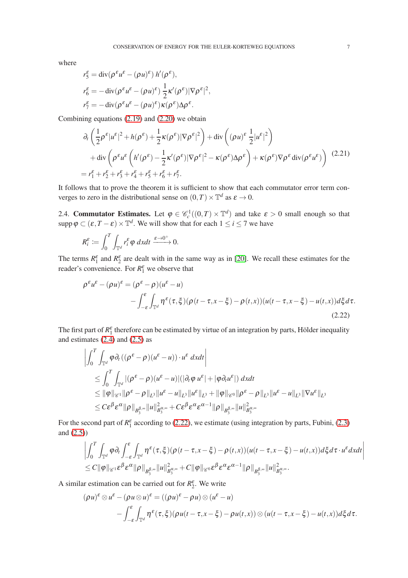where

$$
r_5^{\varepsilon} = \text{div}(\rho^{\varepsilon} u^{\varepsilon} - (\rho u)^{\varepsilon}) h'(\rho^{\varepsilon}),
$$
  
\n
$$
r_6^{\varepsilon} = -\text{div}(\rho^{\varepsilon} u^{\varepsilon} - (\rho u)^{\varepsilon}) \frac{1}{2} \kappa'(\rho^{\varepsilon}) |\nabla \rho^{\varepsilon}|^2,
$$
  
\n
$$
r_7^{\varepsilon} = -\text{div}(\rho^{\varepsilon} u^{\varepsilon} - (\rho u)^{\varepsilon}) \kappa(\rho^{\varepsilon}) \Delta \rho^{\varepsilon}.
$$

Combining equations [\(2.19\)](#page-5-3) and [\(2.20\)](#page-5-4) we obtain

$$
\partial_t \left( \frac{1}{2} \rho^{\varepsilon} |u^{\varepsilon}|^2 + h(\rho^{\varepsilon}) + \frac{1}{2} \kappa(\rho^{\varepsilon}) |\nabla \rho^{\varepsilon}|^2 \right) + \text{div} \left( (\rho u)^{\varepsilon} \frac{1}{2} |u^{\varepsilon}|^2 \right) \n+ \text{div} \left( \rho^{\varepsilon} u^{\varepsilon} \left( h'(\rho^{\varepsilon}) - \frac{1}{2} \kappa'(\rho^{\varepsilon}) |\nabla \rho^{\varepsilon}|^2 - \kappa(\rho^{\varepsilon}) \Delta \rho^{\varepsilon} \right) + \kappa(\rho^{\varepsilon}) \nabla \rho^{\varepsilon} \text{div}(\rho^{\varepsilon} u^{\varepsilon}) \right) (2.21) \n= r_1^{\varepsilon} + r_2^{\varepsilon} + r_3^{\varepsilon} + r_4^{\varepsilon} + r_5^{\varepsilon} + r_6^{\varepsilon} + r_7^{\varepsilon}.
$$

It follows that to prove the theorem it is sufficient to show that each commutator error term converges to zero in the distributional sense on  $(0, T) \times \mathbb{T}^d$  as  $\varepsilon \to 0$ .

2.4. **Commutator Estimates.** Let  $\varphi \in \mathcal{C}_c^1((0,T) \times \mathbb{T}^d)$  and take  $\varepsilon > 0$  small enough so that supp  $\varphi \subset (\varepsilon, T - \varepsilon) \times \mathbb{T}^d$ . We will show that for each  $1 \le i \le 7$  we have

$$
R_i^{\varepsilon} := \int_0^T \int_{\mathbb{T}^d} r_i^{\varepsilon} \varphi \, dx dt \xrightarrow{\varepsilon \to 0^+} 0.
$$

The terms  $R_1^{\varepsilon}$  and  $R_2^{\varepsilon}$  are dealt with in the same way as in [\[20\]](#page-8-5). We recall these estimates for the reader's convenience. For  $R_1^{\varepsilon}$  we observe that

<span id="page-6-0"></span>
$$
\rho^{\varepsilon} u^{\varepsilon} - (\rho u)^{\varepsilon} = (\rho^{\varepsilon} - \rho)(u^{\varepsilon} - u)
$$
  

$$
- \int_{-\varepsilon}^{\varepsilon} \int_{\mathbb{T}^d} \eta^{\varepsilon}(\tau, \xi) (\rho(t - \tau, x - \xi) - \rho(t, x))(u(t - \tau, x - \xi) - u(t, x)) d\xi d\tau.
$$
  
(2.22)

The first part of  $R_1^{\varepsilon}$  therefore can be estimated by virtue of an integration by parts, Hölder inequality and estimates  $(2.4)$  and  $(2.5)$  as

$$
\left| \int_0^T \int_{\mathbb{T}^d} \varphi \partial_t \left( (\rho^{\varepsilon} - \rho)(u^{\varepsilon} - u) \right) \cdot u^{\varepsilon} \, dx dt \right|
$$
  
\n
$$
\leq \int_0^T \int_{\mathbb{T}^d} |(\rho^{\varepsilon} - \rho)(u^{\varepsilon} - u)| (|\partial_t \varphi u^{\varepsilon}| + |\varphi \partial_t u^{\varepsilon}|) \, dx dt
$$
  
\n
$$
\leq ||\varphi||_{\mathscr{C}^1} ||\rho^{\varepsilon} - \rho||_{L^3} ||u^{\varepsilon} - u||_{L^3} ||u^{\varepsilon}||_{L^3} + ||\varphi||_{\mathscr{C}^0} ||\rho^{\varepsilon} - \rho||_{L^3} ||u^{\varepsilon} - u||_{L^3} ||\nabla u^{\varepsilon}||_{L^3}
$$
  
\n
$$
\leq C \varepsilon^{\beta} \varepsilon^{\alpha} ||\rho||_{B^{\beta,\infty}_3} ||u||_{B^{\alpha,\infty}_3}^2 + C \varepsilon^{\beta} \varepsilon^{\alpha} \varepsilon^{\alpha-1} ||\rho||_{B^{\beta,\infty}_3} ||u||_{B^{\alpha,\infty}_3}^2
$$

For the second part of  $R_1^{\varepsilon}$  according to [\(2.22\)](#page-6-0), we estimate (using integration by parts, Fubini, [\(2.3\)](#page-2-3) and  $(2.5)$ )

$$
\left| \int_0^T \int_{\mathbb{T}^d} \varphi \partial_t \int_{-\varepsilon}^\varepsilon \int_{\mathbb{T}^d} \eta^\varepsilon(\tau, \xi) (\rho(t - \tau, x - \xi) - \rho(t, x)) (u(t - \tau, x - \xi) - u(t, x)) d\xi d\tau \cdot u^\varepsilon dx dt \right|
$$
  
\n
$$
\leq C \|\varphi\|_{\mathscr{C}^1} \varepsilon^{\beta} \varepsilon^{\alpha} \|\rho\|_{B^{\beta,\infty}_3} \|u\|_{B^{\alpha,\infty}_3}^2 + C \|\varphi\|_{\mathscr{C}^0} \varepsilon^{\beta} \varepsilon^{\alpha} \varepsilon^{\alpha-1} \|\rho\|_{B^{\beta,\infty}_3} \|u\|_{B^{\alpha,\infty}_3}^2.
$$

A similar estimation can be carried out for  $R_2^{\varepsilon}$ . We write

$$
(\rho u)^{\varepsilon} \otimes u^{\varepsilon} - (\rho u \otimes u)^{\varepsilon} = ((\rho u)^{\varepsilon} - \rho u) \otimes (u^{\varepsilon} - u)
$$
  

$$
- \int_{-\varepsilon}^{\varepsilon} \int_{\mathbb{T}^d} \eta^{\varepsilon}(\tau, \xi) (\rho u(t - \tau, x - \xi) - \rho u(t, x)) \otimes (u(t - \tau, x - \xi) - u(t, x)) d\xi d\tau.
$$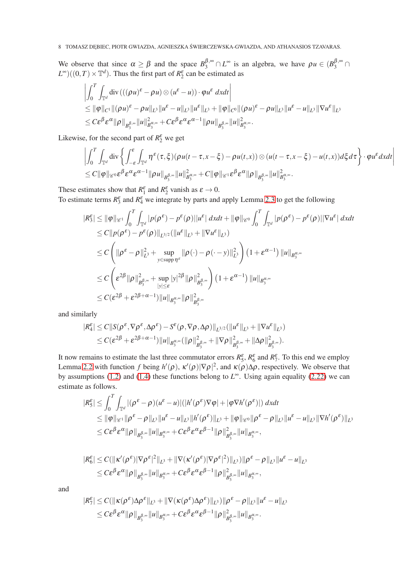## 8 TOMASZ DĘBIEC, PIOTR GWIAZDA, AGNIESZKA ŚWIERCZEWSKA-GWIAZDA, AND ATHANASIOS TZAVARAS.

We observe that since  $\alpha \ge \beta$  and the space  $B_3^{\beta, \infty} \cap L^{\infty}$  is an algebra, we have  $\rho u \in (B_3^{\beta, \infty} \cap L^{\infty})$  $L^{\infty}$ )((0,*T*) ×  $\mathbb{T}^{d}$ ). Thus the first part of  $R_2^{\varepsilon}$  can be estimated as

$$
\left|\int_0^T \int_{\mathbb{T}^d} \text{div}\left((\rho u)^{\varepsilon} - \rho u\right) \otimes (u^{\varepsilon} - u)\right) \cdot \varphi u^{\varepsilon} dxdt\right|
$$
  
\n
$$
\leq \|\varphi\|_{C^1} \|(\rho u)^{\varepsilon} - \rho u\|_{L^3} \|u^{\varepsilon} - u\|_{L^3} \|u^{\varepsilon}\|_{L^3} + \|\varphi\|_{C^0} \|(\rho u)^{\varepsilon} - \rho u\|_{L^3} \|u^{\varepsilon} - u\|_{L^3} \|\nabla u^{\varepsilon}\|_{L^3}
$$
  
\n
$$
\leq C\varepsilon^{\beta} \varepsilon^{\alpha} \|\rho\|_{B^{\beta,\infty}} \|u\|_{B^{\alpha,\infty}}^2 + C\varepsilon^{\beta} \varepsilon^{\alpha} \varepsilon^{\alpha-1} \|\rho u\|_{B^{\beta,\infty}} \|u\|_{B^{\alpha,\infty}}^2.
$$

Likewise, for the second part of  $R_2^{\varepsilon}$  we get

$$
\left| \int_0^T \int_{\mathbb{T}^d} \operatorname{div} \left\{ \int_{-\varepsilon}^\varepsilon \int_{\mathbb{T}^d} \eta^\varepsilon(\tau, \xi) (\rho u(t - \tau, x - \xi) - \rho u(t, x)) \otimes (u(t - \tau, x - \xi) - u(t, x)) d\xi d\tau \right\} \cdot \varphi u^\varepsilon dx dt \right|
$$
  
\n
$$
\leq C \|\varphi\|_{\mathscr{C}^0} \varepsilon^{\beta} \varepsilon^{\alpha} \varepsilon^{\alpha-1} \|\rho u\|_{B^{\beta, \infty}_s} \|u\|_{B^{\alpha, \infty}_s}^2 + C \|\varphi\|_{\mathscr{C}^1} \varepsilon^{\beta} \varepsilon^{\alpha} \|\rho\|_{B^{\beta, \infty}_s} \|u\|_{B^{\alpha, \infty}_s}^2.
$$

These estimates show that  $R_1^{\varepsilon}$  and  $R_2^{\varepsilon}$  vanish as  $\varepsilon \to 0$ .

To estimate terms  $R_3^{\varepsilon}$  and  $R_4^{\varepsilon}$  we integrate by parts and apply Lemma [2.3](#page-4-5) to get the following

$$
\begin{split}\n|R_{3}^{\varepsilon}| &\leq \|\varphi\|_{\mathscr{C}^{1}} \int_{0}^{T} \int_{\mathbb{T}^{d}} |p(\rho^{\varepsilon}) - p^{\varepsilon}(\rho)| |u^{\varepsilon}| \, dx dt + \|\varphi\|_{\mathscr{C}^{0}} \int_{0}^{T} \int_{\mathbb{T}^{d}} |p(\rho^{\varepsilon}) - p^{\varepsilon}(\rho)| |\nabla u^{\varepsilon}| \, dx dt \\
&\leq C \|p(\rho^{\varepsilon}) - p^{\varepsilon}(\rho) \|_{L^{3/2}} (\|u^{\varepsilon}\|_{L^{3}} + \|\nabla u^{\varepsilon}\|_{L^{3}}) \\
&\leq C \left( \|\rho^{\varepsilon} - \rho\|_{L^{3}}^{2} + \sup_{y \in \text{supp}\eta^{\varepsilon}} \|\rho(\cdot) - \rho(\cdot - y)\|_{L^{3}}^{2} \right) \left( 1 + \varepsilon^{\alpha - 1} \right) \|u\|_{B_{3}^{\alpha, \infty}} \\
&\leq C \left( \varepsilon^{2\beta} \|\rho\|_{B_{3}^{\beta, \infty}}^{2} + \sup_{|y| \leq \varepsilon} |y|^{2\beta} \|\rho\|_{B_{3}^{\beta, \infty}}^{2} \right) \left( 1 + \varepsilon^{\alpha - 1} \right) \|u\|_{B_{3}^{\alpha, \infty}} \\
&\leq C (\varepsilon^{2\beta} + \varepsilon^{2\beta + \alpha - 1}) \|u\|_{B_{3}^{\alpha, \infty}} \|\rho\|_{B_{3}^{\beta, \infty}}^{2} \\
\end{split}
$$

and similarly

$$
\begin{aligned} |R_4^{\varepsilon}|&\leq C\|S(\rho^{\varepsilon},\nabla\rho^{\varepsilon},\Delta\rho^{\varepsilon})-S^{\varepsilon}(\rho,\nabla\rho,\Delta\rho)\|_{L^{3/2}}(\|u^{\varepsilon}\|_{L^{3}}+\|\nabla u^{\varepsilon}\|_{L^{3}})\\ &\leq C(\varepsilon^{2\beta}+\varepsilon^{2\beta+\alpha-1})\|u\|_{B^{\alpha,\infty}_{3}}(\|\rho\|_{B^{\beta,\infty}_{3}}^2+\|\nabla\rho\|_{B^{\beta,\infty}_{3}}^2+\|\Delta\rho\|_{B^{\beta,\infty}_{3}}^2). \end{aligned}
$$

It now remains to estimate the last three commutator errors  $R_5^{\varepsilon}$ ,  $R_6^{\varepsilon}$  and  $R_7^{\varepsilon}$ . To this end we employ Lemma [2.2](#page-3-0) with function *f* being  $h'(\rho)$ ,  $\kappa'(\rho)|\nabla \rho|^2$ , and  $\kappa(\rho)\Delta \rho$ , respectively. We observe that by assumptions [\(1.2\)](#page-1-0) and [\(1.4\)](#page-1-2) these functions belong to  $L^{\infty}$ . Using again equality [\(2.22\)](#page-6-0) we can estimate as follows.

$$
\begin{split} |R_{5}^{\varepsilon}| &\leq \int_{0}^{T} \int_{\mathbb{T}^{d}} |(\rho^{\varepsilon}-\rho)(u^{\varepsilon}-u)| (|h'(\rho^{\varepsilon})\nabla\varphi|+|\varphi\nabla h'(\rho^{\varepsilon})|) dx dt \\ &\leq \|\varphi\|_{\mathscr{C}^{1}} \|\rho^{\varepsilon}-\rho\|_{L^{3}} \|u^{\varepsilon}-u\|_{L^{3}} \|h'(\rho^{\varepsilon})\|_{L^{3}} + \|\varphi\|_{\mathscr{C}^{0}} \|\rho^{\varepsilon}-\rho\|_{L^{3}} \|u^{\varepsilon}-u\|_{L^{3}} \|\nabla h'(\rho^{\varepsilon})\|_{L^{3}} \\ &\leq C \varepsilon^{\beta} \varepsilon^{\alpha} \|\rho\|_{B^{\beta,\infty}_{3}} \|u\|_{B^{\alpha,\infty}_{3}} + C \varepsilon^{\beta} \varepsilon^{\alpha} \varepsilon^{\beta-1} \|\rho\|_{B^{\beta,\infty}_{3}}^{2} \|u\|_{B^{\alpha,\infty}_{3}}, \end{split}
$$

$$
|R_6^{\varepsilon}| \leq C(||\kappa'(\rho^{\varepsilon})|\nabla\rho^{\varepsilon}|^2||_{L^3} + ||\nabla(\kappa'(\rho^{\varepsilon})|\nabla\rho^{\varepsilon}|^2)||_{L^3})||\rho^{\varepsilon} - \rho||_{L^3}||u^{\varepsilon} - u||_{L^3}
$$
  

$$
\leq C\varepsilon^{\beta}\varepsilon^{\alpha}||\rho||_{B_3^{\beta,\infty}}||u||_{B_3^{\alpha,\infty}} + C\varepsilon^{\beta}\varepsilon^{\alpha}\varepsilon^{\beta-1}||\rho||_{B_3^{\beta,\infty}}^2||u||_{B_3^{\alpha,\infty}},
$$

and

$$
|R_7^{\varepsilon}| \leq C(||\kappa(\rho^{\varepsilon})\Delta\rho^{\varepsilon}||_{L^3} + ||\nabla(\kappa(\rho^{\varepsilon})\Delta\rho^{\varepsilon})||_{L^3})||\rho^{\varepsilon} - \rho||_{L^3}||u^{\varepsilon} - u||_{L^3}
$$
  

$$
\leq C\varepsilon^{\beta}\varepsilon^{\alpha}||\rho||_{B_3^{\beta,\infty}}||u||_{B_3^{\alpha,\infty}} + C\varepsilon^{\beta}\varepsilon^{\alpha}\varepsilon^{\beta-1}||\rho||_{B_3^{\beta,\infty}}^2||u||_{B_3^{\alpha,\infty}}.
$$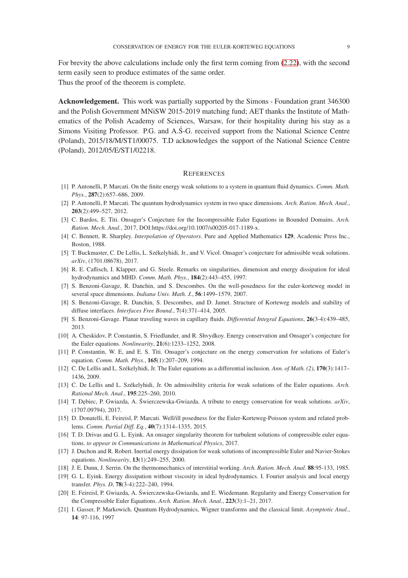For brevity the above calculations include only the first term coming from [\(2.22\)](#page-6-0), with the second term easily seen to produce estimates of the same order. Thus the proof of the theorem is complete.

Acknowledgement. This work was partially supported by the Simons - Foundation grant 346300 and the Polish Government MNiSW 2015-2019 matching fund; AET thanks the Institute of Mathematics of the Polish Academy of Sciences, Warsaw, for their hospitality during his stay as a Simons Visiting Professor. P.G. and A.S-G. received support from the National Science Centre (Poland), 2015/18/M/ST1/00075. T.D acknowledges the support of the National Science Centre (Poland), 2012/05/E/ST1/02218.

#### **REFERENCES**

- <span id="page-8-16"></span><span id="page-8-15"></span>[1] P. Antonelli, P. Marcati. On the finite energy weak solutions to a system in quantum fluid dynamics. *Comm. Math. Phys.*, 287(2):657–686, 2009.
- <span id="page-8-9"></span>[2] P. Antonelli, P. Marcati. The quantum hydrodynamics system in two space dimensions. *Arch. Ration. Mech. Anal.*, 203(2):499–527, 2012.
- <span id="page-8-18"></span>[3] C. Bardos, E. Titi. Onsager's Conjecture for the Incompressible Euler Equations in Bounded Domains. *Arch. Ration. Mech. Anal.*, 2017, DOI:https://doi.org/10.1007/s00205-017-1189-x.
- <span id="page-8-2"></span>[4] C. Bennett, R. Sharpley. *Interpolation of Operators*. Pure and Applied Mathematics 129, Academic Press Inc., Boston, 1988.
- <span id="page-8-8"></span>[5] T. Buckmaster, C. De Lellis, L. Székelyhidi, Jr., and V. Vicol. Onsager's conjecture for admissible weak solutions. *arXiv*, (1701.08678), 2017.
- <span id="page-8-12"></span>[6] R. E. Caflisch, I. Klapper, and G. Steele. Remarks on singularities, dimension and energy dissipation for ideal hydrodynamics and MHD. *Comm. Math. Phys.*, 184(2):443–455, 1997.
- [7] S. Benzoni-Gavage, R. Danchin, and S. Descombes. On the well-posedness for the euler-korteweg model in several space dimensions. *Indiana Univ. Math. J.*, 56:1499–1579, 2007.
- <span id="page-8-13"></span>[8] S. Benzoni-Gavage, R. Danchin, S. Descombes, and D. Jamet. Structure of Korteweg models and stability of diffuse interfaces. *Interfaces Free Bound.*, 7(4):371–414, 2005.
- [9] S. Benzoni-Gavage. Planar traveling waves in capillary fluids. *Differential Integral Equations*, 26(3-4):439–485, 2013.
- [10] A. Cheskidov, P. Constantin, S. Friedlander, and R. Shvydkoy. Energy conservation and Onsager's conjecture for the Euler equations. *Nonlinearity*, 21(6):1233–1252, 2008.
- <span id="page-8-3"></span>[11] P. Constantin, W. E, and E. S. Titi. Onsager's conjecture on the energy conservation for solutions of Euler's equation. *Comm. Math. Phys.*, 165(1):207–209, 1994.
- <span id="page-8-0"></span>[12] C. De Lellis and L. Székelyhidi, Jr. The Euler equations as a differential inclusion. *Ann. of Math. (2)*, 170(3):1417– 1436, 2009.
- <span id="page-8-10"></span><span id="page-8-1"></span>[13] C. De Lellis and L. Székelyhidi, Jr. On admissibility criteria for weak solutions of the Euler equations. *Arch. Rational Mech. Anal.*, 195:225–260, 2010.
- [14] T. D˛ebiec, P. Gwiazda, A. Swierczewska-Gwiazda. A tribute to energy conservation fo ´ r weak solutions. *arXiv*, (1707.09794), 2017.
- <span id="page-8-17"></span>[15] D. Donatelli, E. Feireisl, P. Marcati. Well/ill posedness for the Euler-Korteweg-Poisson system and related problems. *Comm. Partial Diff. Eq.*, 40(7):1314–1335, 2015.
- <span id="page-8-7"></span><span id="page-8-6"></span>[16] T. D. Drivas and G. L. Eyink. An onsager singularity theorem for turbulent solutions of compressible euler equations. *to appear in Communications in Mathematical Physics*, 2017.
- [17] J. Duchon and R. Robert. Inertial energy dissipation for weak solutions of incompressible Euler and Navier-Stokes equations. *Nonlinearity*, 13(1):249–255, 2000.
- <span id="page-8-11"></span><span id="page-8-4"></span>[18] J. E. Dunn, J. Serrin. On the thermomechanics of interstitial working. *Arch. Ration. Mech. Anal.* 88:95-133, 1985.
- [19] G. L. Eyink. Energy dissipation without viscosity in ideal hydrodynamics. I. Fourier analysis and local energy transfer. *Phys. D*, 78(3-4):222–240, 1994.
- <span id="page-8-5"></span>[20] E. Feireisl, P. Gwiazda, A. Świerczewska-Gwiazda, and E. Wiedemann. Regularity and Energy Conservation for the Compressible Euler Equations. *Arch. Ration. Mech. Anal.*, 223(3):1–21, 2017.
- <span id="page-8-14"></span>[21] I. Gasser, P. Markowich. Quantum Hydrodynamics, Wigner transforms and the classical limit. *Asymptotic Anal.*, 14: 97-116, 1997